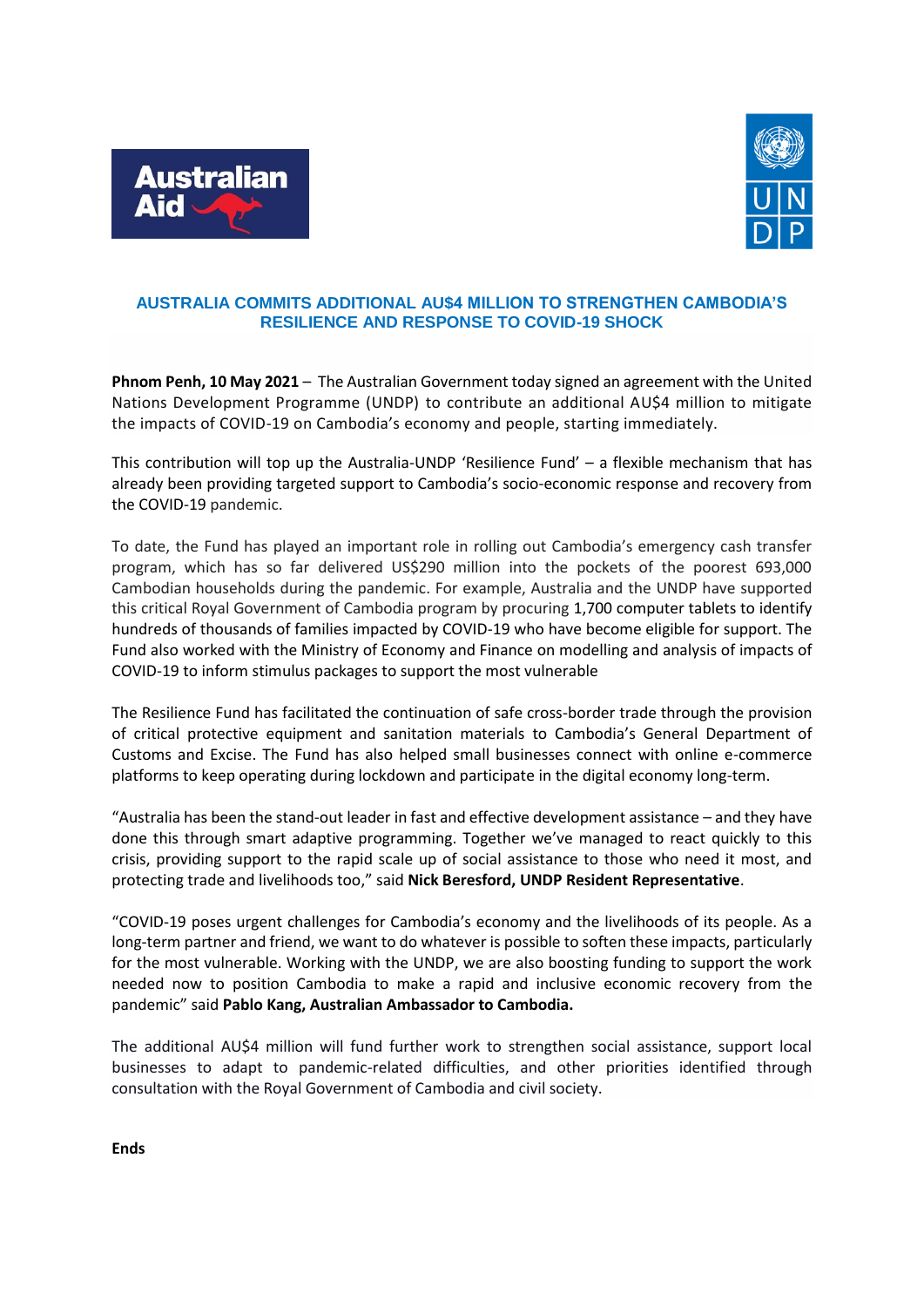



## **AUSTRALIA COMMITS ADDITIONAL AU\$4 MILLION TO STRENGTHEN CAMBODIA'S RESILIENCE AND RESPONSE TO COVID-19 SHOCK**

**Phnom Penh, 10 May 2021** – The Australian Government today signed an agreement with the United Nations Development Programme (UNDP) to contribute an additional AU\$4 million to mitigate the impacts of COVID-19 on Cambodia's economy and people, starting immediately.

This contribution will top up the Australia-UNDP 'Resilience Fund' – a flexible mechanism that has already been providing targeted support to Cambodia's socio-economic response and recovery from the COVID-19 pandemic.

To date, the Fund has played an important role in rolling out Cambodia's emergency cash transfer program, which has so far delivered US\$290 million into the pockets of the poorest 693,000 Cambodian households during the pandemic. For example, Australia and the UNDP have supported this critical Royal Government of Cambodia program by procuring 1,700 computer tablets to identify hundreds of thousands of families impacted by COVID-19 who have become eligible for support. The Fund also worked with the Ministry of Economy and Finance on modelling and analysis of impacts of COVID-19 to inform stimulus packages to support the most vulnerable

The Resilience Fund has facilitated the continuation of safe cross-border trade through the provision of critical protective equipment and sanitation materials to Cambodia's General Department of Customs and Excise. The Fund has also helped small businesses connect with online e-commerce platforms to keep operating during lockdown and participate in the digital economy long-term.

"Australia has been the stand-out leader in fast and effective development assistance – and they have done this through smart adaptive programming. Together we've managed to react quickly to this crisis, providing support to the rapid scale up of social assistance to those who need it most, and protecting trade and livelihoods too," said **Nick Beresford, UNDP Resident Representative**.

"COVID-19 poses urgent challenges for Cambodia's economy and the livelihoods of its people. As a long-term partner and friend, we want to do whatever is possible to soften these impacts, particularly for the most vulnerable. Working with the UNDP, we are also boosting funding to support the work needed now to position Cambodia to make a rapid and inclusive economic recovery from the pandemic" said **Pablo Kang, Australian Ambassador to Cambodia.**

The additional AU\$4 million will fund further work to strengthen social assistance, support local businesses to adapt to pandemic-related difficulties, and other priorities identified through consultation with the Royal Government of Cambodia and civil society.

**Ends**